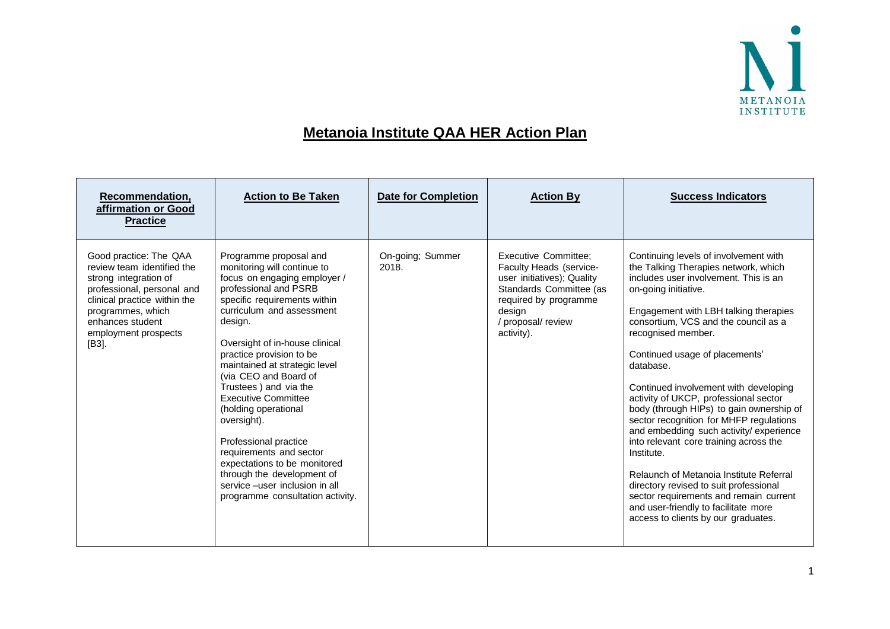

## **Metanoia Institute QAA HER Action Plan**

| Recommendation,<br>affirmation or Good<br><b>Practice</b>                                                                                                                                                             | <b>Action to Be Taken</b>                                                                                                                                                                                                                                                                                                                                                                                                                                                                                                                                                                             | <b>Date for Completion</b> | <b>Action By</b>                                                                                                                                                                       | <b>Success Indicators</b>                                                                                                                                                                                                                                                                                                                                                                                                                                                                                                                                                                                                                                                                                                                                                                      |
|-----------------------------------------------------------------------------------------------------------------------------------------------------------------------------------------------------------------------|-------------------------------------------------------------------------------------------------------------------------------------------------------------------------------------------------------------------------------------------------------------------------------------------------------------------------------------------------------------------------------------------------------------------------------------------------------------------------------------------------------------------------------------------------------------------------------------------------------|----------------------------|----------------------------------------------------------------------------------------------------------------------------------------------------------------------------------------|------------------------------------------------------------------------------------------------------------------------------------------------------------------------------------------------------------------------------------------------------------------------------------------------------------------------------------------------------------------------------------------------------------------------------------------------------------------------------------------------------------------------------------------------------------------------------------------------------------------------------------------------------------------------------------------------------------------------------------------------------------------------------------------------|
| Good practice: The QAA<br>review team identified the<br>strong integration of<br>professional, personal and<br>clinical practice within the<br>programmes, which<br>enhances student<br>employment prospects<br>[B3]. | Programme proposal and<br>monitoring will continue to<br>focus on engaging employer /<br>professional and PSRB<br>specific requirements within<br>curriculum and assessment<br>design.<br>Oversight of in-house clinical<br>practice provision to be<br>maintained at strategic level<br>(via CEO and Board of<br>Trustees ) and via the<br><b>Executive Committee</b><br>(holding operational<br>oversight).<br>Professional practice<br>requirements and sector<br>expectations to be monitored<br>through the development of<br>service -user inclusion in all<br>programme consultation activity. | On-going; Summer<br>2018.  | <b>Executive Committee;</b><br>Faculty Heads (service-<br>user initiatives); Quality<br>Standards Committee (as<br>required by programme<br>design<br>/ proposal/ review<br>activity). | Continuing levels of involvement with<br>the Talking Therapies network, which<br>includes user involvement. This is an<br>on-going initiative.<br>Engagement with LBH talking therapies<br>consortium, VCS and the council as a<br>recognised member.<br>Continued usage of placements'<br>database.<br>Continued involvement with developing<br>activity of UKCP, professional sector<br>body (through HIPs) to gain ownership of<br>sector recognition for MHFP regulations<br>and embedding such activity/ experience<br>into relevant core training across the<br>Institute.<br>Relaunch of Metanoia Institute Referral<br>directory revised to suit professional<br>sector requirements and remain current<br>and user-friendly to facilitate more<br>access to clients by our graduates. |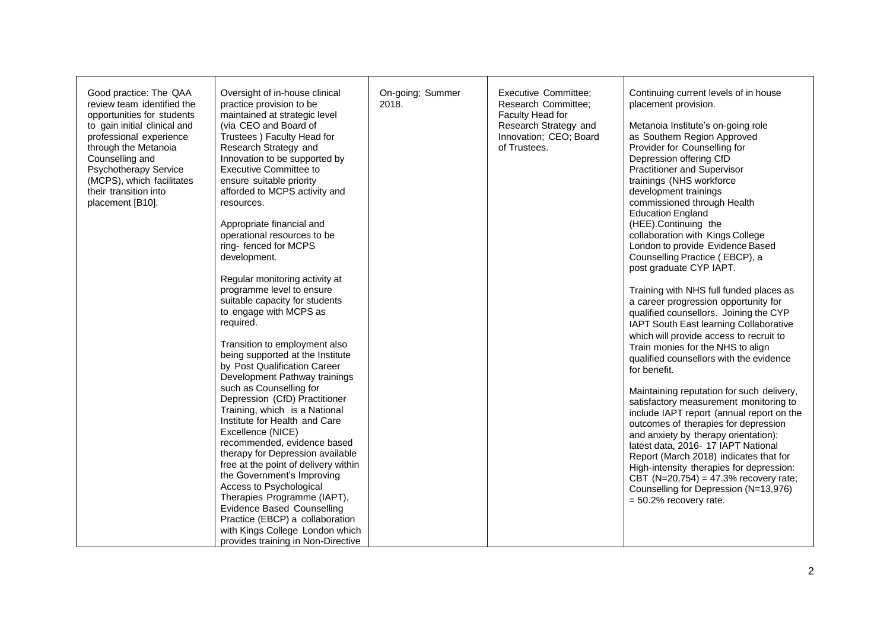| Good practice: The QAA<br>review team identified the<br>opportunities for students<br>to gain initial clinical and<br>professional experience<br>through the Metanoia<br>Counselling and<br><b>Psychotherapy Service</b><br>(MCPS), which facilitates<br>their transition into<br>placement [B10]. | Oversight of in-house clinical<br>practice provision to be<br>maintained at strategic level<br>(via CEO and Board of<br>Trustees ) Faculty Head for<br>Research Strategy and<br>Innovation to be supported by<br><b>Executive Committee to</b><br>ensure suitable priority<br>afforded to MCPS activity and<br>resources.<br>Appropriate financial and<br>operational resources to be<br>ring-fenced for MCPS<br>development.<br>Regular monitoring activity at<br>programme level to ensure<br>suitable capacity for students<br>to engage with MCPS as<br>required.<br>Transition to employment also<br>being supported at the Institute<br>by Post Qualification Career<br>Development Pathway trainings<br>such as Counselling for<br>Depression (CfD) Practitioner<br>Training, which is a National<br>Institute for Health and Care<br>Excellence (NICE)<br>recommended, evidence based<br>therapy for Depression available<br>free at the point of delivery within<br>the Government's Improving<br>Access to Psychological<br>Therapies Programme (IAPT),<br><b>Evidence Based Counselling</b><br>Practice (EBCP) a collaboration<br>with Kings College London which<br>provides training in Non-Directive | On-going; Summer<br>2018. | <b>Executive Committee;</b><br>Research Committee;<br>Faculty Head for<br>Research Strategy and<br>Innovation; CEO; Board<br>of Trustees. | Continuing current levels of in house<br>placement provision.<br>Metanoia Institute's on-going role<br>as Southern Region Approved<br>Provider for Counselling for<br>Depression offering CfD<br>Practitioner and Supervisor<br>trainings (NHS workforce<br>development trainings<br>commissioned through Health<br><b>Education England</b><br>(HEE).Continuing the<br>collaboration with Kings College<br>London to provide Evidence Based<br>Counselling Practice (EBCP), a<br>post graduate CYP IAPT.<br>Training with NHS full funded places as<br>a career progression opportunity for<br>qualified counsellors. Joining the CYP<br>IAPT South East learning Collaborative<br>which will provide access to recruit to<br>Train monies for the NHS to align<br>qualified counsellors with the evidence<br>for benefit.<br>Maintaining reputation for such delivery,<br>satisfactory measurement monitoring to<br>include IAPT report (annual report on the<br>outcomes of therapies for depression<br>and anxiety by therapy orientation);<br>latest data, 2016- 17 IAPT National<br>Report (March 2018) indicates that for<br>High-intensity therapies for depression:<br>CBT (N=20,754) = 47.3% recovery rate;<br>Counselling for Depression (N=13,976)<br>$= 50.2\%$ recovery rate. |
|----------------------------------------------------------------------------------------------------------------------------------------------------------------------------------------------------------------------------------------------------------------------------------------------------|--------------------------------------------------------------------------------------------------------------------------------------------------------------------------------------------------------------------------------------------------------------------------------------------------------------------------------------------------------------------------------------------------------------------------------------------------------------------------------------------------------------------------------------------------------------------------------------------------------------------------------------------------------------------------------------------------------------------------------------------------------------------------------------------------------------------------------------------------------------------------------------------------------------------------------------------------------------------------------------------------------------------------------------------------------------------------------------------------------------------------------------------------------------------------------------------------------------------|---------------------------|-------------------------------------------------------------------------------------------------------------------------------------------|---------------------------------------------------------------------------------------------------------------------------------------------------------------------------------------------------------------------------------------------------------------------------------------------------------------------------------------------------------------------------------------------------------------------------------------------------------------------------------------------------------------------------------------------------------------------------------------------------------------------------------------------------------------------------------------------------------------------------------------------------------------------------------------------------------------------------------------------------------------------------------------------------------------------------------------------------------------------------------------------------------------------------------------------------------------------------------------------------------------------------------------------------------------------------------------------------------------------------------------------------------------------------------------------|
|----------------------------------------------------------------------------------------------------------------------------------------------------------------------------------------------------------------------------------------------------------------------------------------------------|--------------------------------------------------------------------------------------------------------------------------------------------------------------------------------------------------------------------------------------------------------------------------------------------------------------------------------------------------------------------------------------------------------------------------------------------------------------------------------------------------------------------------------------------------------------------------------------------------------------------------------------------------------------------------------------------------------------------------------------------------------------------------------------------------------------------------------------------------------------------------------------------------------------------------------------------------------------------------------------------------------------------------------------------------------------------------------------------------------------------------------------------------------------------------------------------------------------------|---------------------------|-------------------------------------------------------------------------------------------------------------------------------------------|---------------------------------------------------------------------------------------------------------------------------------------------------------------------------------------------------------------------------------------------------------------------------------------------------------------------------------------------------------------------------------------------------------------------------------------------------------------------------------------------------------------------------------------------------------------------------------------------------------------------------------------------------------------------------------------------------------------------------------------------------------------------------------------------------------------------------------------------------------------------------------------------------------------------------------------------------------------------------------------------------------------------------------------------------------------------------------------------------------------------------------------------------------------------------------------------------------------------------------------------------------------------------------------------|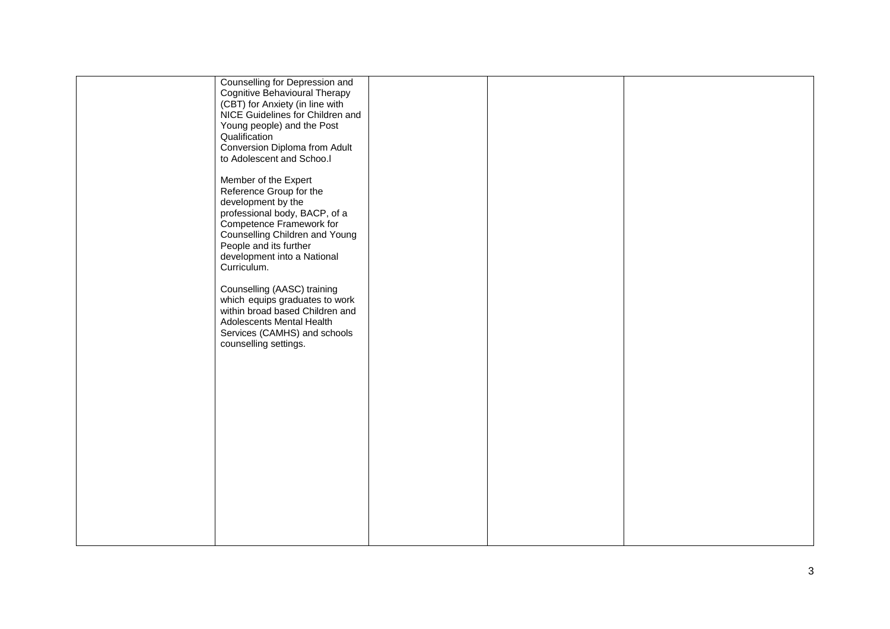| Counselling for Depression and<br>Cognitive Behavioural Therapy<br>(CBT) for Anxiety (in line with<br>NICE Guidelines for Children and<br>Young people) and the Post<br>Qualification<br>Conversion Diploma from Adult<br>to Adolescent and Schoo.I |  |  |
|-----------------------------------------------------------------------------------------------------------------------------------------------------------------------------------------------------------------------------------------------------|--|--|
| Member of the Expert<br>Reference Group for the<br>development by the<br>professional body, BACP, of a<br>Competence Framework for<br>Counselling Children and Young<br>People and its further<br>development into a National<br>Curriculum.        |  |  |
| Counselling (AASC) training<br>which equips graduates to work<br>within broad based Children and<br>Adolescents Mental Health<br>Services (CAMHS) and schools<br>counselling settings.                                                              |  |  |
|                                                                                                                                                                                                                                                     |  |  |
|                                                                                                                                                                                                                                                     |  |  |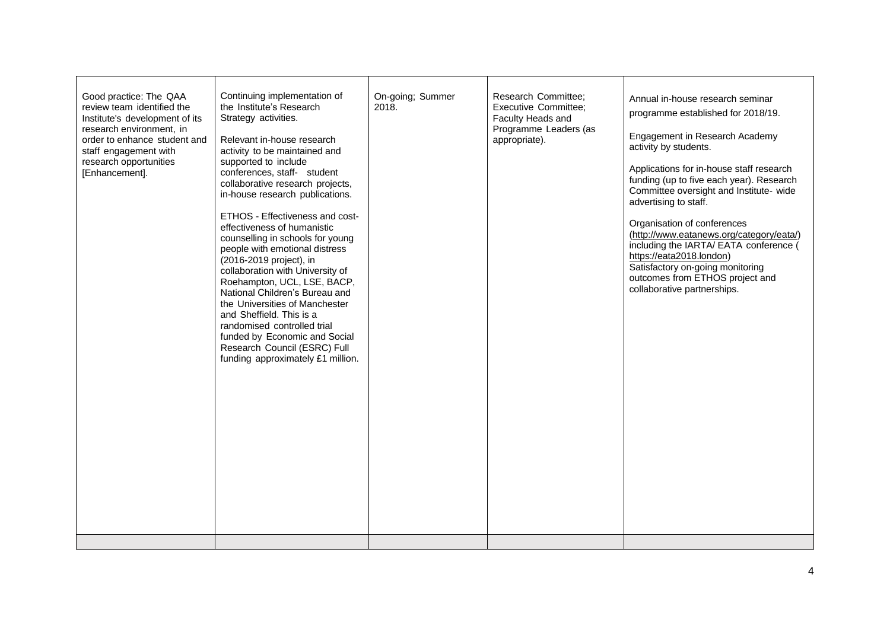| Good practice: The QAA<br>review team identified the<br>Institute's development of its<br>research environment, in<br>order to enhance student and<br>staff engagement with<br>research opportunities<br>[Enhancement]. | Continuing implementation of<br>the Institute's Research<br>Strategy activities.<br>Relevant in-house research<br>activity to be maintained and<br>supported to include<br>conferences, staff- student<br>collaborative research projects,<br>in-house research publications.<br>ETHOS - Effectiveness and cost-<br>effectiveness of humanistic<br>counselling in schools for young<br>people with emotional distress<br>(2016-2019 project), in<br>collaboration with University of<br>Roehampton, UCL, LSE, BACP,<br>National Children's Bureau and<br>the Universities of Manchester<br>and Sheffield. This is a<br>randomised controlled trial<br>funded by Economic and Social<br>Research Council (ESRC) Full<br>funding approximately £1 million. | On-going; Summer<br>2018. | Research Committee;<br>Executive Committee;<br>Faculty Heads and<br>Programme Leaders (as<br>appropriate). | Annual in-house research seminar<br>programme established for 2018/19.<br>Engagement in Research Academy<br>activity by students.<br>Applications for in-house staff research<br>funding (up to five each year). Research<br>Committee oversight and Institute- wide<br>advertising to staff.<br>Organisation of conferences<br>(http://www.eatanews.org/category/eata/)<br>including the IARTA/ EATA conference (<br>https://eata2018.london)<br>Satisfactory on-going monitoring<br>outcomes from ETHOS project and<br>collaborative partnerships. |
|-------------------------------------------------------------------------------------------------------------------------------------------------------------------------------------------------------------------------|----------------------------------------------------------------------------------------------------------------------------------------------------------------------------------------------------------------------------------------------------------------------------------------------------------------------------------------------------------------------------------------------------------------------------------------------------------------------------------------------------------------------------------------------------------------------------------------------------------------------------------------------------------------------------------------------------------------------------------------------------------|---------------------------|------------------------------------------------------------------------------------------------------------|------------------------------------------------------------------------------------------------------------------------------------------------------------------------------------------------------------------------------------------------------------------------------------------------------------------------------------------------------------------------------------------------------------------------------------------------------------------------------------------------------------------------------------------------------|
|-------------------------------------------------------------------------------------------------------------------------------------------------------------------------------------------------------------------------|----------------------------------------------------------------------------------------------------------------------------------------------------------------------------------------------------------------------------------------------------------------------------------------------------------------------------------------------------------------------------------------------------------------------------------------------------------------------------------------------------------------------------------------------------------------------------------------------------------------------------------------------------------------------------------------------------------------------------------------------------------|---------------------------|------------------------------------------------------------------------------------------------------------|------------------------------------------------------------------------------------------------------------------------------------------------------------------------------------------------------------------------------------------------------------------------------------------------------------------------------------------------------------------------------------------------------------------------------------------------------------------------------------------------------------------------------------------------------|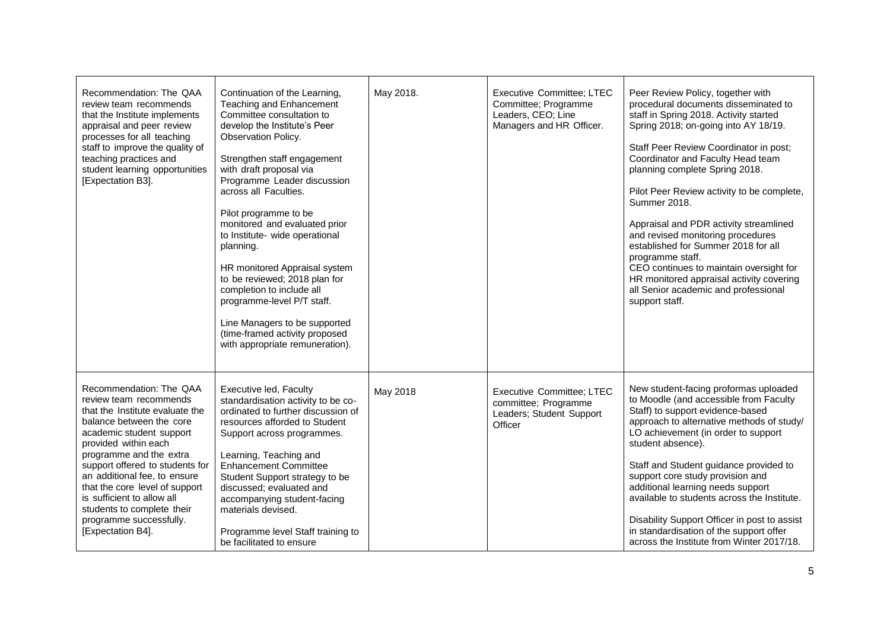| Recommendation: The QAA<br>review team recommends<br>that the Institute implements<br>appraisal and peer review<br>processes for all teaching<br>staff to improve the quality of<br>teaching practices and<br>student learning opportunities<br>[Expectation B3].                                                                                                                                                | Continuation of the Learning,<br>Teaching and Enhancement<br>Committee consultation to<br>develop the Institute's Peer<br>Observation Policy.<br>Strengthen staff engagement<br>with draft proposal via<br>Programme Leader discussion<br>across all Faculties.<br>Pilot programme to be<br>monitored and evaluated prior<br>to Institute- wide operational<br>planning.<br>HR monitored Appraisal system<br>to be reviewed; 2018 plan for<br>completion to include all<br>programme-level P/T staff.<br>Line Managers to be supported<br>(time-framed activity proposed<br>with appropriate remuneration). | May 2018. | <b>Executive Committee; LTEC</b><br>Committee; Programme<br>Leaders, CEO; Line<br>Managers and HR Officer. | Peer Review Policy, together with<br>procedural documents disseminated to<br>staff in Spring 2018. Activity started<br>Spring 2018; on-going into AY 18/19.<br>Staff Peer Review Coordinator in post;<br>Coordinator and Faculty Head team<br>planning complete Spring 2018.<br>Pilot Peer Review activity to be complete,<br>Summer 2018.<br>Appraisal and PDR activity streamlined<br>and revised monitoring procedures<br>established for Summer 2018 for all<br>programme staff.<br>CEO continues to maintain oversight for<br>HR monitored appraisal activity covering<br>all Senior academic and professional<br>support staff. |
|------------------------------------------------------------------------------------------------------------------------------------------------------------------------------------------------------------------------------------------------------------------------------------------------------------------------------------------------------------------------------------------------------------------|-------------------------------------------------------------------------------------------------------------------------------------------------------------------------------------------------------------------------------------------------------------------------------------------------------------------------------------------------------------------------------------------------------------------------------------------------------------------------------------------------------------------------------------------------------------------------------------------------------------|-----------|------------------------------------------------------------------------------------------------------------|---------------------------------------------------------------------------------------------------------------------------------------------------------------------------------------------------------------------------------------------------------------------------------------------------------------------------------------------------------------------------------------------------------------------------------------------------------------------------------------------------------------------------------------------------------------------------------------------------------------------------------------|
| Recommendation: The QAA<br>review team recommends<br>that the Institute evaluate the<br>balance between the core<br>academic student support<br>provided within each<br>programme and the extra<br>support offered to students for<br>an additional fee, to ensure<br>that the core level of support<br>is sufficient to allow all<br>students to complete their<br>programme successfully.<br>[Expectation B4]. | Executive led, Faculty<br>standardisation activity to be co-<br>ordinated to further discussion of<br>resources afforded to Student<br>Support across programmes.<br>Learning, Teaching and<br><b>Enhancement Committee</b><br>Student Support strategy to be<br>discussed; evaluated and<br>accompanying student-facing<br>materials devised.<br>Programme level Staff training to<br>be facilitated to ensure                                                                                                                                                                                             | May 2018  | <b>Executive Committee; LTEC</b><br>committee; Programme<br>Leaders; Student Support<br>Officer            | New student-facing proformas uploaded<br>to Moodle (and accessible from Faculty<br>Staff) to support evidence-based<br>approach to alternative methods of study/<br>LO achievement (in order to support<br>student absence).<br>Staff and Student guidance provided to<br>support core study provision and<br>additional learning needs support<br>available to students across the Institute.<br>Disability Support Officer in post to assist<br>in standardisation of the support offer<br>across the Institute from Winter 2017/18.                                                                                                |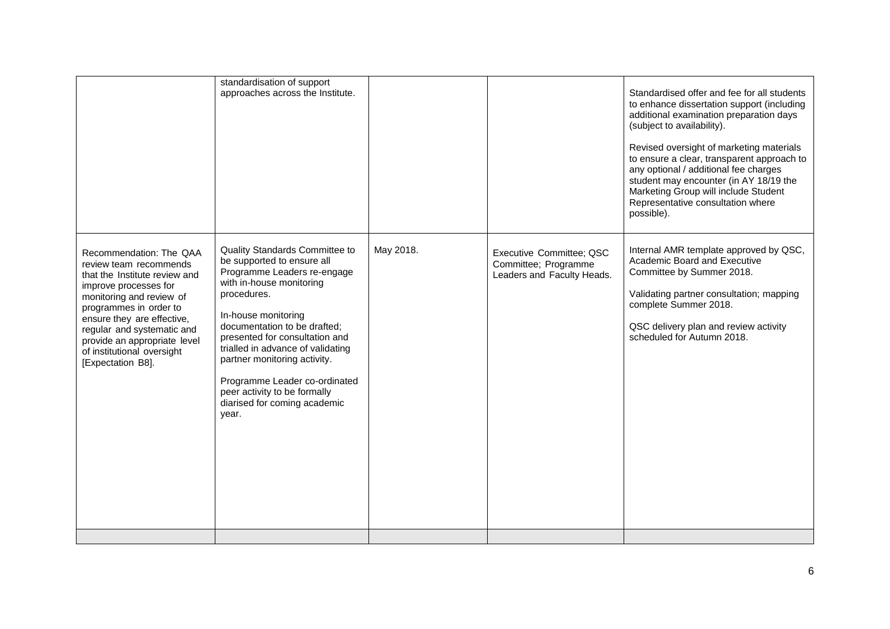|                                                                                                                                                                                                                                                                                                                  | standardisation of support<br>approaches across the Institute.                                                                                                                                                                                                                                                                                                                                                 |           |                                                                                | Standardised offer and fee for all students<br>to enhance dissertation support (including<br>additional examination preparation days<br>(subject to availability).<br>Revised oversight of marketing materials<br>to ensure a clear, transparent approach to<br>any optional / additional fee charges<br>student may encounter (in AY 18/19 the<br>Marketing Group will include Student<br>Representative consultation where<br>possible). |
|------------------------------------------------------------------------------------------------------------------------------------------------------------------------------------------------------------------------------------------------------------------------------------------------------------------|----------------------------------------------------------------------------------------------------------------------------------------------------------------------------------------------------------------------------------------------------------------------------------------------------------------------------------------------------------------------------------------------------------------|-----------|--------------------------------------------------------------------------------|--------------------------------------------------------------------------------------------------------------------------------------------------------------------------------------------------------------------------------------------------------------------------------------------------------------------------------------------------------------------------------------------------------------------------------------------|
| Recommendation: The QAA<br>review team recommends<br>that the Institute review and<br>improve processes for<br>monitoring and review of<br>programmes in order to<br>ensure they are effective,<br>regular and systematic and<br>provide an appropriate level<br>of institutional oversight<br>[Expectation B8]. | Quality Standards Committee to<br>be supported to ensure all<br>Programme Leaders re-engage<br>with in-house monitoring<br>procedures.<br>In-house monitoring<br>documentation to be drafted;<br>presented for consultation and<br>trialled in advance of validating<br>partner monitoring activity.<br>Programme Leader co-ordinated<br>peer activity to be formally<br>diarised for coming academic<br>year. | May 2018. | Executive Committee; QSC<br>Committee; Programme<br>Leaders and Faculty Heads. | Internal AMR template approved by QSC,<br>Academic Board and Executive<br>Committee by Summer 2018.<br>Validating partner consultation; mapping<br>complete Summer 2018.<br>QSC delivery plan and review activity<br>scheduled for Autumn 2018.                                                                                                                                                                                            |
|                                                                                                                                                                                                                                                                                                                  |                                                                                                                                                                                                                                                                                                                                                                                                                |           |                                                                                |                                                                                                                                                                                                                                                                                                                                                                                                                                            |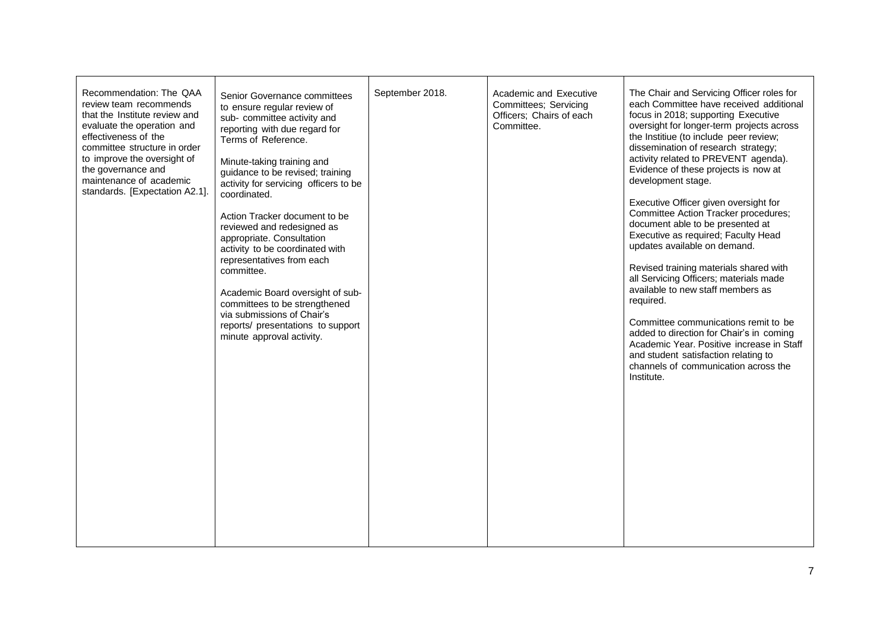| Recommendation: The QAA<br>review team recommends<br>that the Institute review and<br>evaluate the operation and<br>effectiveness of the<br>committee structure in order<br>to improve the oversight of<br>the governance and<br>maintenance of academic<br>standards. [Expectation A2.1]. | Senior Governance committees<br>to ensure regular review of<br>sub- committee activity and<br>reporting with due regard for<br>Terms of Reference.<br>Minute-taking training and<br>guidance to be revised; training<br>activity for servicing officers to be<br>coordinated.<br>Action Tracker document to be<br>reviewed and redesigned as<br>appropriate. Consultation<br>activity to be coordinated with<br>representatives from each<br>committee.<br>Academic Board oversight of sub-<br>committees to be strengthened<br>via submissions of Chair's<br>reports/ presentations to support<br>minute approval activity. | September 2018. | Academic and Executive<br>Committees; Servicing<br>Officers; Chairs of each<br>Committee. | The Chair and Servicing Officer roles for<br>each Committee have received additional<br>focus in 2018; supporting Executive<br>oversight for longer-term projects across<br>the Institiue (to include peer review;<br>dissemination of research strategy;<br>activity related to PREVENT agenda).<br>Evidence of these projects is now at<br>development stage.<br>Executive Officer given oversight for<br>Committee Action Tracker procedures;<br>document able to be presented at<br>Executive as required; Faculty Head<br>updates available on demand.<br>Revised training materials shared with<br>all Servicing Officers; materials made<br>available to new staff members as<br>required.<br>Committee communications remit to be<br>added to direction for Chair's in coming<br>Academic Year. Positive increase in Staff<br>and student satisfaction relating to<br>channels of communication across the<br>Institute. |
|--------------------------------------------------------------------------------------------------------------------------------------------------------------------------------------------------------------------------------------------------------------------------------------------|------------------------------------------------------------------------------------------------------------------------------------------------------------------------------------------------------------------------------------------------------------------------------------------------------------------------------------------------------------------------------------------------------------------------------------------------------------------------------------------------------------------------------------------------------------------------------------------------------------------------------|-----------------|-------------------------------------------------------------------------------------------|----------------------------------------------------------------------------------------------------------------------------------------------------------------------------------------------------------------------------------------------------------------------------------------------------------------------------------------------------------------------------------------------------------------------------------------------------------------------------------------------------------------------------------------------------------------------------------------------------------------------------------------------------------------------------------------------------------------------------------------------------------------------------------------------------------------------------------------------------------------------------------------------------------------------------------|
|--------------------------------------------------------------------------------------------------------------------------------------------------------------------------------------------------------------------------------------------------------------------------------------------|------------------------------------------------------------------------------------------------------------------------------------------------------------------------------------------------------------------------------------------------------------------------------------------------------------------------------------------------------------------------------------------------------------------------------------------------------------------------------------------------------------------------------------------------------------------------------------------------------------------------------|-----------------|-------------------------------------------------------------------------------------------|----------------------------------------------------------------------------------------------------------------------------------------------------------------------------------------------------------------------------------------------------------------------------------------------------------------------------------------------------------------------------------------------------------------------------------------------------------------------------------------------------------------------------------------------------------------------------------------------------------------------------------------------------------------------------------------------------------------------------------------------------------------------------------------------------------------------------------------------------------------------------------------------------------------------------------|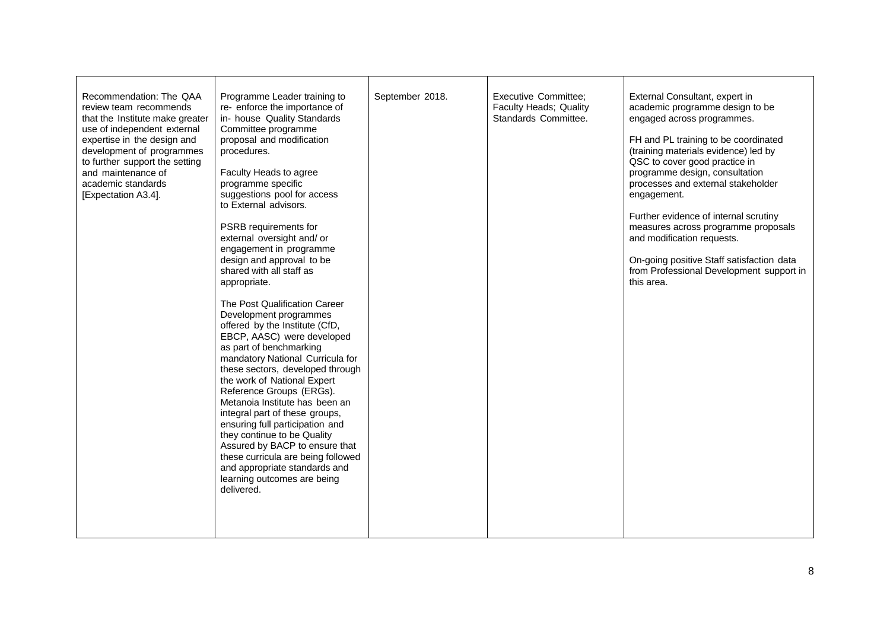| Recommendation: The QAA<br>review team recommends<br>that the Institute make greater<br>use of independent external<br>expertise in the design and<br>development of programmes<br>to further support the setting<br>and maintenance of<br>academic standards<br>[Expectation A3.4]. | Programme Leader training to<br>re-enforce the importance of<br>in- house Quality Standards<br>Committee programme<br>proposal and modification<br>procedures.<br>Faculty Heads to agree<br>programme specific<br>suggestions pool for access<br>to External advisors.<br>PSRB requirements for<br>external oversight and/ or<br>engagement in programme<br>design and approval to be<br>shared with all staff as<br>appropriate.<br>The Post Qualification Career<br>Development programmes<br>offered by the Institute (CfD,<br>EBCP, AASC) were developed<br>as part of benchmarking<br>mandatory National Curricula for<br>these sectors, developed through<br>the work of National Expert<br>Reference Groups (ERGs).<br>Metanoia Institute has been an<br>integral part of these groups,<br>ensuring full participation and<br>they continue to be Quality<br>Assured by BACP to ensure that<br>these curricula are being followed<br>and appropriate standards and<br>learning outcomes are being<br>delivered. | September 2018. | <b>Executive Committee;</b><br>Faculty Heads; Quality<br>Standards Committee. | External Consultant, expert in<br>academic programme design to be<br>engaged across programmes.<br>FH and PL training to be coordinated<br>(training materials evidence) led by<br>QSC to cover good practice in<br>programme design, consultation<br>processes and external stakeholder<br>engagement.<br>Further evidence of internal scrutiny<br>measures across programme proposals<br>and modification requests.<br>On-going positive Staff satisfaction data<br>from Professional Development support in<br>this area. |
|--------------------------------------------------------------------------------------------------------------------------------------------------------------------------------------------------------------------------------------------------------------------------------------|------------------------------------------------------------------------------------------------------------------------------------------------------------------------------------------------------------------------------------------------------------------------------------------------------------------------------------------------------------------------------------------------------------------------------------------------------------------------------------------------------------------------------------------------------------------------------------------------------------------------------------------------------------------------------------------------------------------------------------------------------------------------------------------------------------------------------------------------------------------------------------------------------------------------------------------------------------------------------------------------------------------------|-----------------|-------------------------------------------------------------------------------|------------------------------------------------------------------------------------------------------------------------------------------------------------------------------------------------------------------------------------------------------------------------------------------------------------------------------------------------------------------------------------------------------------------------------------------------------------------------------------------------------------------------------|
|--------------------------------------------------------------------------------------------------------------------------------------------------------------------------------------------------------------------------------------------------------------------------------------|------------------------------------------------------------------------------------------------------------------------------------------------------------------------------------------------------------------------------------------------------------------------------------------------------------------------------------------------------------------------------------------------------------------------------------------------------------------------------------------------------------------------------------------------------------------------------------------------------------------------------------------------------------------------------------------------------------------------------------------------------------------------------------------------------------------------------------------------------------------------------------------------------------------------------------------------------------------------------------------------------------------------|-----------------|-------------------------------------------------------------------------------|------------------------------------------------------------------------------------------------------------------------------------------------------------------------------------------------------------------------------------------------------------------------------------------------------------------------------------------------------------------------------------------------------------------------------------------------------------------------------------------------------------------------------|